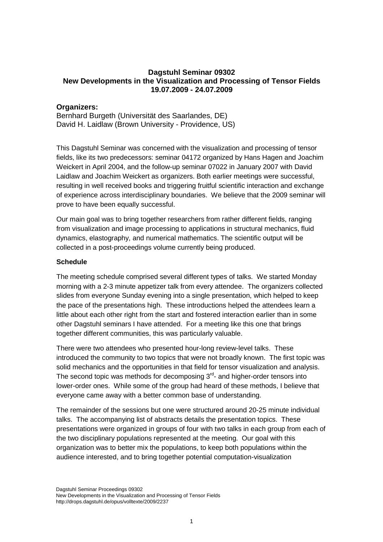# **Dagstuhl Seminar 09302 New Developments in the Visualization and Processing of Tensor Fields 19.07.2009 - 24.07.2009**

## **Organizers:**

Bernhard Burgeth (Universität des Saarlandes, DE) David H. Laidlaw (Brown University - Providence, US)

This Dagstuhl Seminar was concerned with the visualization and processing of tensor fields, like its two predecessors: seminar 04172 organized by Hans Hagen and Joachim Weickert in April 2004, and the follow-up seminar 07022 in January 2007 with David Laidlaw and Joachim Weickert as organizers. Both earlier meetings were successful, resulting in well received books and triggering fruitful scientific interaction and exchange of experience across interdisciplinary boundaries. We believe that the 2009 seminar will prove to have been equally successful.

Our main goal was to bring together researchers from rather different fields, ranging from visualization and image processing to applications in structural mechanics, fluid dynamics, elastography, and numerical mathematics. The scientific output will be collected in a post-proceedings volume currently being produced.

#### **Schedule**

The meeting schedule comprised several different types of talks. We started Monday morning with a 2-3 minute appetizer talk from every attendee. The organizers collected slides from everyone Sunday evening into a single presentation, which helped to keep the pace of the presentations high. These introductions helped the attendees learn a little about each other right from the start and fostered interaction earlier than in some other Dagstuhl seminars I have attended. For a meeting like this one that brings together different communities, this was particularly valuable.

There were two attendees who presented hour-long review-level talks. These introduced the community to two topics that were not broadly known. The first topic was solid mechanics and the opportunities in that field for tensor visualization and analysis. The second topic was methods for decomposing  $3<sup>rd</sup>$ - and higher-order tensors into lower-order ones. While some of the group had heard of these methods, I believe that everyone came away with a better common base of understanding.

The remainder of the sessions but one were structured around 20-25 minute individual talks. The accompanying list of abstracts details the presentation topics. These presentations were organized in groups of four with two talks in each group from each of the two disciplinary populations represented at the meeting. Our goal with this organization was to better mix the populations, to keep both populations within the audience interested, and to bring together potential computation-visualization

Dagstuhl Seminar Proceedings 09302 New Developments in the Visualization and Processing of Tensor Fields http://drops.dagstuhl.de/opus/volltexte/2009/2237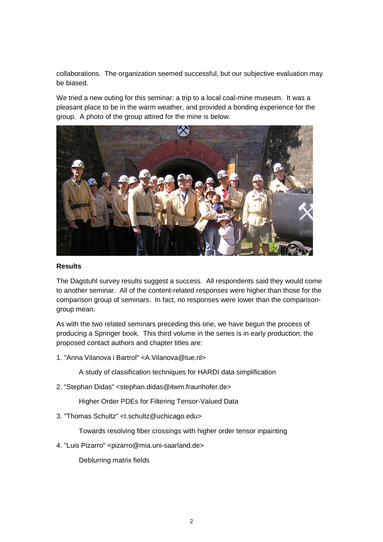collaborations. The organization seemed successful, but our subjective evaluation may be biased.

We tried a new outing for this seminar: a trip to a local coal-mine museum. It was a pleasant place to be in the warm weather, and provided a bonding experience for the group. A photo of the group attired for the mine is below:



#### **Results**

The Dagstuhl survey results suggest a success. All respondents said they would come to another seminar. All of the content-related responses were higher than those for the comparison group of seminars. In fact, no responses were lower than the comparisongroup mean.

As with the two related seminars preceding this one, we have begun the process of producing a Springer book. This third volume in the series is in early production; the proposed contact authors and chapter titles are:

1. "Anna Vilanova i Bartrol" <A.Vilanova@tue.nl>

A study of classification techniques for HARDI data simplification

2. "Stephan Didas" <stephan.didas@itwm.fraunhofer.de>

Higher Order PDEs for Filtering Tensor-Valued Data

3. "Thomas Schultz" <t.schultz@uchicago.edu>

Towards resolving fiber crossings with higher order tensor inpainting

4. "Luis Pizarro" <pizarro@mia.uni-saarland.de>

Deblurring matrix fields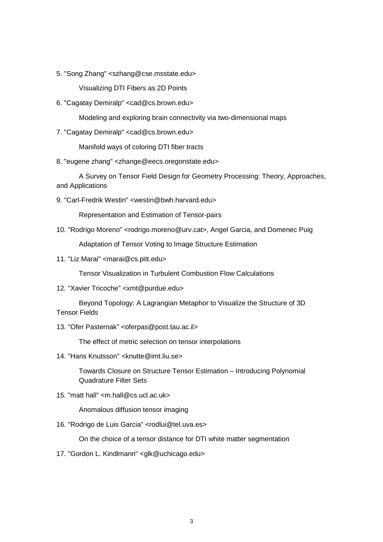5. "Song Zhang" <szhang@cse.msstate.edu>

Visualizing DTI Fibers as 2D Points

6. "Cagatay Demiralp" <cad@cs.brown.edu>

Modeling and exploring brain connectivity via two-dimensional maps

7. "Cagatay Demiralp" <cad@cs.brown.edu>

Manifold ways of coloring DTI fiber tracts

8. "eugene zhang" <zhange@eecs.oregonstate.edu>

A Survey on Tensor Field Design for Geometry Processing: Theory, Approaches, and Applications

9. "Carl-Fredrik Westin" <westin@bwh.harvard.edu>

Representation and Estimation of Tensor-pairs

10. "Rodrigo Moreno" <rodrigo.moreno@urv.cat>, Angel Garcia, and Domenec Puig

Adaptation of Tensor Voting to Image Structure Estimation

11. "Liz Marai" <marai@cs.pitt.edu>

Tensor Visualization in Turbulent Combustion Flow Calculations

12. "Xavier Tricoche" <xmt@purdue.edu>

Beyond Topology: A Lagrangian Metaphor to Visualize the Structure of 3D Tensor Fields

13. "Ofer Pasternak" <oferpas@post.tau.ac.il>

The effect of metric selection on tensor interpolations

14. "Hans Knutsson" <knutte@imt.liu.se>

Towards Closure on Structure Tensor Estimation – Introducing Polynomial Quadrature Filter Sets

15. "matt hall" <m.hall@cs.ucl.ac.uk>

Anomalous diffusion tensor imaging

16. "Rodrigo de Luis Garcia" <rodlui@tel.uva.es>

On the choice of a tensor distance for DTI white matter segmentation

17. "Gordon L. Kindlmann" <glk@uchicago.edu>